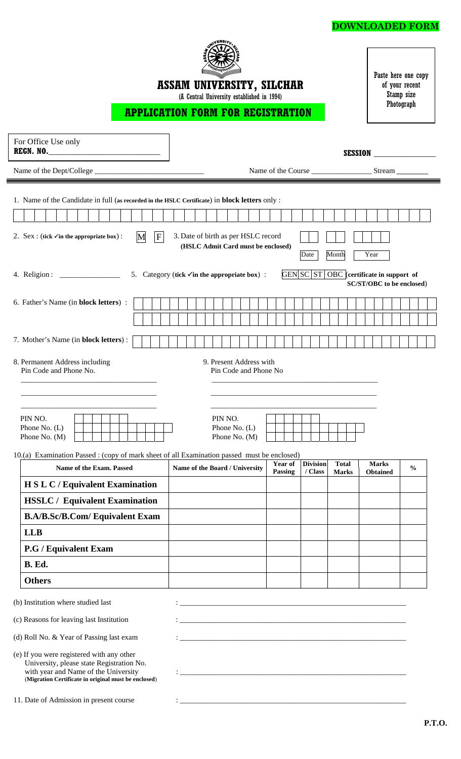## **DOWNLOADED FORM**



**ASSAM UNIVERSITY, SILCHAR**

(A Central University established in 1994)

Paste here one copy of your recent Stamp size Photograph

# **APPLICATION FORM FOR REGISTRATION**

|                                                                                                                                                                                                                                    |  |                                                                           |                           |                            | <b>SESSION</b>               |                                                                              |               |  |
|------------------------------------------------------------------------------------------------------------------------------------------------------------------------------------------------------------------------------------|--|---------------------------------------------------------------------------|---------------------------|----------------------------|------------------------------|------------------------------------------------------------------------------|---------------|--|
|                                                                                                                                                                                                                                    |  |                                                                           |                           |                            |                              | Name of the Course Stream                                                    |               |  |
|                                                                                                                                                                                                                                    |  |                                                                           |                           |                            |                              |                                                                              |               |  |
| 1. Name of the Candidate in full (as recorded in the HSLC Certificate) in block letters only :                                                                                                                                     |  |                                                                           |                           |                            |                              |                                                                              |               |  |
|                                                                                                                                                                                                                                    |  |                                                                           |                           |                            |                              |                                                                              |               |  |
| F <br>2. Sex: (tick $\checkmark$ in the appropriate box):<br>M                                                                                                                                                                     |  | 3. Date of birth as per HSLC record<br>(HSLC Admit Card must be enclosed) |                           | Date                       | Month                        | Year                                                                         |               |  |
|                                                                                                                                                                                                                                    |  | 5. Category (tick $\checkmark$ in the appropriate box) :                  |                           |                            |                              | GEN SC ST OBC (certificate in support of<br><b>SC/ST/OBC</b> to be enclosed) |               |  |
| 6. Father's Name (in block letters) :                                                                                                                                                                                              |  |                                                                           |                           |                            |                              |                                                                              |               |  |
|                                                                                                                                                                                                                                    |  |                                                                           |                           |                            |                              |                                                                              |               |  |
| 7. Mother's Name (in block letters):                                                                                                                                                                                               |  |                                                                           |                           |                            |                              |                                                                              |               |  |
| 8. Permanent Address including<br>Pin Code and Phone No.                                                                                                                                                                           |  | 9. Present Address with<br>Pin Code and Phone No                          |                           |                            |                              |                                                                              |               |  |
| PIN NO.<br>Phone No. (L)<br>Phone No. (M)                                                                                                                                                                                          |  | PIN NO.<br>Phone No. (L)<br>Phone No. (M)                                 |                           |                            |                              |                                                                              |               |  |
| 10.(a) Examination Passed : (copy of mark sheet of all Examination passed must be enclosed)                                                                                                                                        |  |                                                                           |                           |                            |                              |                                                                              |               |  |
| Name of the Exam. Passed                                                                                                                                                                                                           |  | Name of the Board / University                                            | <b>Year of</b><br>Passing | <b>Division</b><br>/ Class | <b>Total</b><br><b>Marks</b> | <b>Marks</b><br><b>Obtained</b>                                              | $\frac{0}{0}$ |  |
| <b>H S L C / Equivalent Examination</b>                                                                                                                                                                                            |  |                                                                           |                           |                            |                              |                                                                              |               |  |
| <b>HSSLC / Equivalent Examination</b>                                                                                                                                                                                              |  |                                                                           |                           |                            |                              |                                                                              |               |  |
| <b>B.A/B.Sc/B.Com/ Equivalent Exam</b>                                                                                                                                                                                             |  |                                                                           |                           |                            |                              |                                                                              |               |  |
| <b>LLB</b>                                                                                                                                                                                                                         |  |                                                                           |                           |                            |                              |                                                                              |               |  |
| <b>P.G / Equivalent Exam</b>                                                                                                                                                                                                       |  |                                                                           |                           |                            |                              |                                                                              |               |  |
| B. Ed.                                                                                                                                                                                                                             |  |                                                                           |                           |                            |                              |                                                                              |               |  |
| <b>Others</b>                                                                                                                                                                                                                      |  |                                                                           |                           |                            |                              |                                                                              |               |  |
| (b) Institution where studied last                                                                                                                                                                                                 |  |                                                                           |                           |                            |                              |                                                                              |               |  |
| (c) Reasons for leaving last Institution                                                                                                                                                                                           |  |                                                                           |                           |                            |                              |                                                                              |               |  |
| (d) Roll No. & Year of Passing last exam<br>(e) If you were registered with any other<br>University, please state Registration No.<br>with year and Name of the University<br>(Migration Certificate in original must be enclosed) |  |                                                                           |                           |                            |                              |                                                                              |               |  |